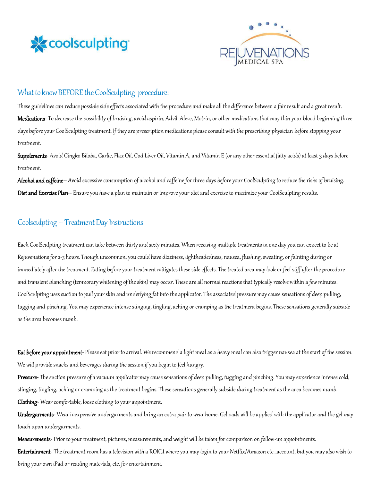



# What to know BEFORE the CoolSculpting procedure:

These guidelines can reduce possible side effects associated with the procedure and make all the difference between a fair result and a great result. Medications- To decrease the possibility of bruising, avoid aspirin, Advil, Aleve, Motrin, or other medications that may thin your blood beginning three days before your CoolSculpting treatment. If they are prescription medications please consult with the prescribing physician before stopping your treatment.

Supplements- Avoid Gingko Biloba, Garlic, Flax Oil, Cod Liver Oil, Vitamin A, and Vitamin E (or any other essential fatty acids) at least 3 days before treatment.

Alcohol and caffeine– Avoid excessive consumption of alcohol and caffeine for three days before your CoolSculpting to reduce the risks of bruising. Diet and Exercise Plan– Ensure you have a plan to maintain or improve your diet and exercise to maximize your CoolSculpting results.

### Coolsculpting – Treatment Day Instructions

Each CoolSculpting treatment can take between thirty and sixty minutes. When receiving multiple treatments in one day you can expect to be at Rejuvenations for 2-3 hours. Though uncommon, you could have dizziness, lightheadedness, nausea, flushing, sweating, or fainting during or immediately after the treatment. Eating before your treatment mitigates these side effects. The treated area may look or feel stiff after the procedure and transient blanching (temporary whitening of the skin) may occur. These are all normal reactions that typically resolve within a few minutes. CoolSculpting uses suction to pull your skin and underlying fat into the applicator. The associated pressure may cause sensations of deep pulling, tugging and pinching. You may experience intense stinging, tingling, aching or cramping as the treatment begins. These sensations generally subside as the area becomes numb.

Eat before your appointment-Please eat prior to arrival. We recommend a light meal as a heavy meal can also trigger nausea at the start of the session. We will provide snacks and beverages during the session if you begin to feel hungry.

Pressure- The suction pressure of a vacuum applicator may cause sensations of deep pulling, tugging and pinching. You may experience intense cold, stinging, tingling, aching or cramping as the treatment begins. These sensations generally subside during treatment as the area becomes numb.

Clothing- Wear comfortable, loose clothing to your appointment.

Undergarments- Wear inexpensive undergarments and bring an extra pair to wear home. Gel pads will be applied with the applicator and the gel may touch upon undergarments.

Measurements- Prior to your treatment, pictures, measurements, and weight will be taken for comparison on follow-up appointments. Entertainment- The treatment room has a television with a ROKU where you may login to your Netflix/Amazon etc...account, but you may also wish to bring your own iPad or reading materials, etc. for entertainment.